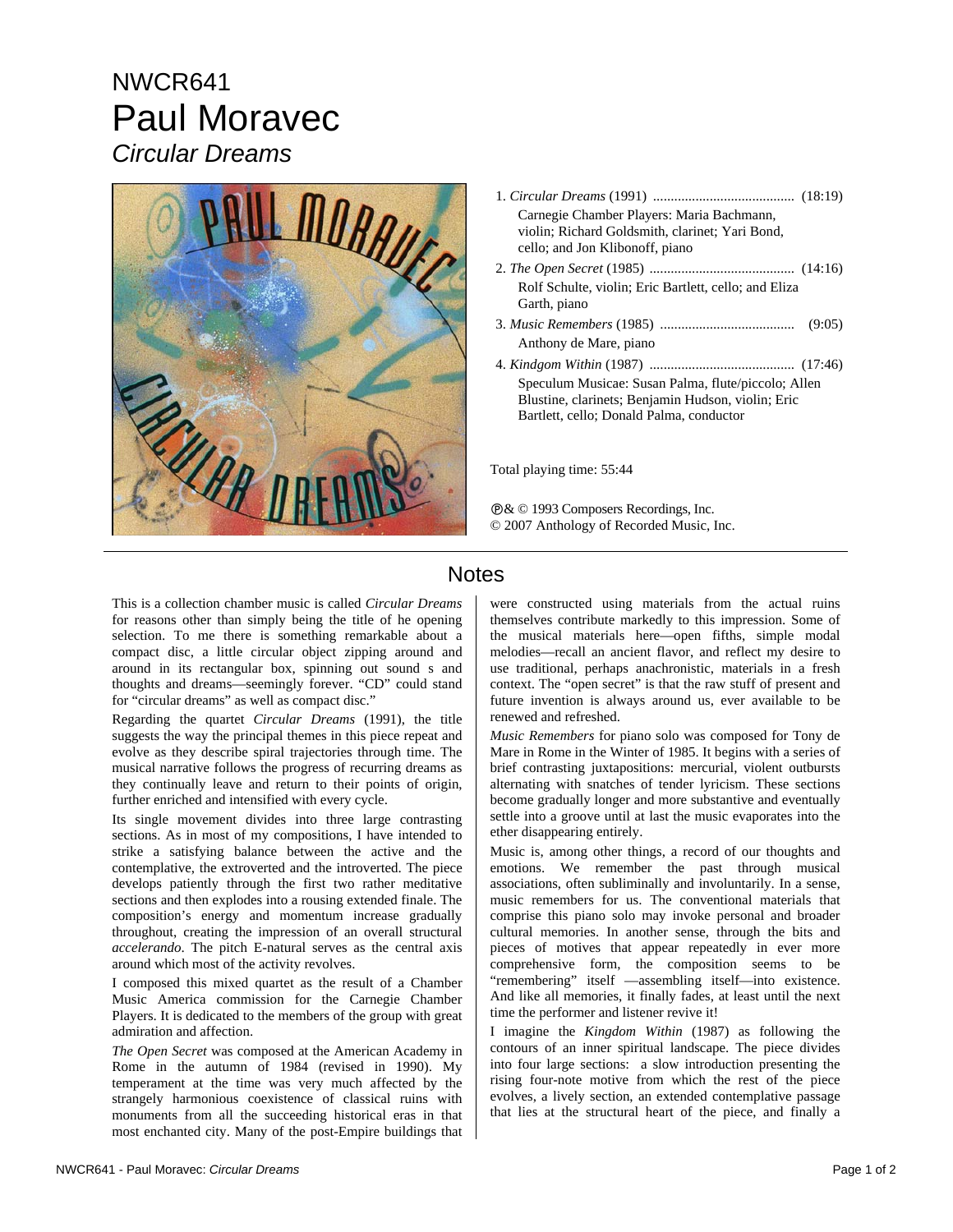## NWCR641 Paul Moravec *Circular Dreams*



| Carnegie Chamber Players: Maria Bachmann,<br>violin; Richard Goldsmith, clarinet; Yari Bond,<br>cello; and Jon Klibonoff, piano |
|---------------------------------------------------------------------------------------------------------------------------------|
|                                                                                                                                 |
| Rolf Schulte, violin; Eric Bartlett, cello; and Eliza<br>Garth, piano                                                           |
| (9:05)                                                                                                                          |
| Anthony de Mare, piano                                                                                                          |
|                                                                                                                                 |
| Speculum Musicae: Susan Palma, flute/piccolo; Allen<br>Blustine, clarinets; Benjamin Hudson, violin; Eric                       |
| Bartlett, cello; Donald Palma, conductor                                                                                        |

Total playing time: 55:44

Ê& © 1993 Composers Recordings, Inc. © 2007 Anthology of Recorded Music, Inc.

## Notes

This is a collection chamber music is called *Circular Dreams* for reasons other than simply being the title of he opening selection. To me there is something remarkable about a compact disc, a little circular object zipping around and around in its rectangular box, spinning out sound s and thoughts and dreams—seemingly forever. "CD" could stand for "circular dreams" as well as compact disc."

Regarding the quartet *Circular Dreams* (1991), the title suggests the way the principal themes in this piece repeat and evolve as they describe spiral trajectories through time. The musical narrative follows the progress of recurring dreams as they continually leave and return to their points of origin, further enriched and intensified with every cycle.

Its single movement divides into three large contrasting sections. As in most of my compositions, I have intended to strike a satisfying balance between the active and the contemplative, the extroverted and the introverted. The piece develops patiently through the first two rather meditative sections and then explodes into a rousing extended finale. The composition's energy and momentum increase gradually throughout, creating the impression of an overall structural *accelerando*. The pitch E-natural serves as the central axis around which most of the activity revolves.

I composed this mixed quartet as the result of a Chamber Music America commission for the Carnegie Chamber Players. It is dedicated to the members of the group with great admiration and affection.

*The Open Secret* was composed at the American Academy in Rome in the autumn of 1984 (revised in 1990). My temperament at the time was very much affected by the strangely harmonious coexistence of classical ruins with monuments from all the succeeding historical eras in that most enchanted city. Many of the post-Empire buildings that

were constructed using materials from the actual ruins themselves contribute markedly to this impression. Some of the musical materials here—open fifths, simple modal melodies—recall an ancient flavor, and reflect my desire to use traditional, perhaps anachronistic, materials in a fresh context. The "open secret" is that the raw stuff of present and future invention is always around us, ever available to be renewed and refreshed.

*Music Remembers* for piano solo was composed for Tony de Mare in Rome in the Winter of 1985. It begins with a series of brief contrasting juxtapositions: mercurial, violent outbursts alternating with snatches of tender lyricism. These sections become gradually longer and more substantive and eventually settle into a groove until at last the music evaporates into the ether disappearing entirely.

Music is, among other things, a record of our thoughts and emotions. We remember the past through musical associations, often subliminally and involuntarily. In a sense, music remembers for us. The conventional materials that comprise this piano solo may invoke personal and broader cultural memories. In another sense, through the bits and pieces of motives that appear repeatedly in ever more comprehensive form, the composition seems to be "remembering" itself —assembling itself—into existence. And like all memories, it finally fades, at least until the next time the performer and listener revive it!

I imagine the *Kingdom Within* (1987) as following the contours of an inner spiritual landscape. The piece divides into four large sections: a slow introduction presenting the rising four-note motive from which the rest of the piece evolves, a lively section, an extended contemplative passage that lies at the structural heart of the piece, and finally a